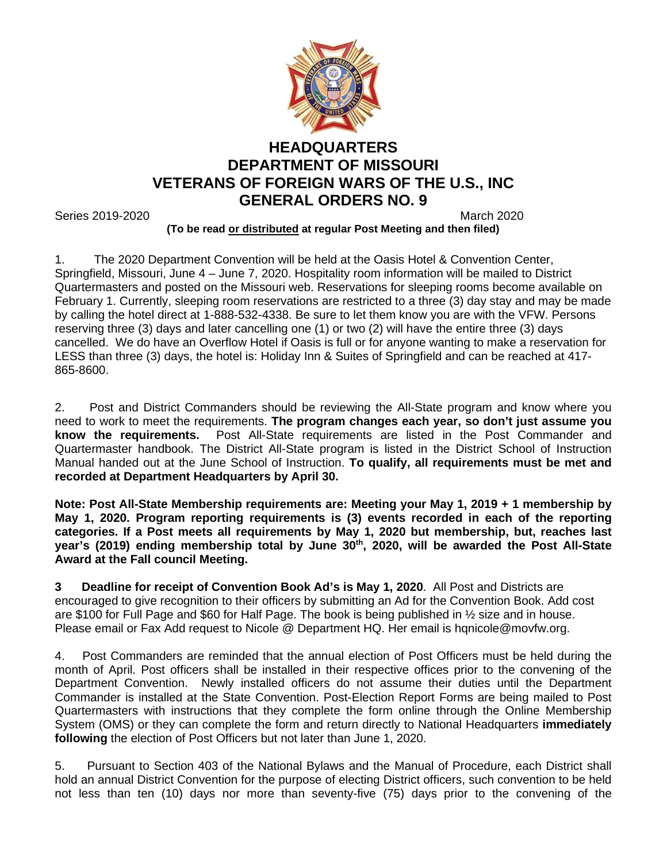

## **HEADQUARTERS DEPARTMENT OF MISSOURI VETERANS OF FOREIGN WARS OF THE U.S., INC GENERAL ORDERS NO. 9**

Series 2019-2020 March 2020

## **(To be read or distributed at regular Post Meeting and then filed)**

1. The 2020 Department Convention will be held at the Oasis Hotel & Convention Center, Springfield, Missouri, June 4 – June 7, 2020. Hospitality room information will be mailed to District Quartermasters and posted on the Missouri web. Reservations for sleeping rooms become available on February 1. Currently, sleeping room reservations are restricted to a three (3) day stay and may be made by calling the hotel direct at 1-888-532-4338. Be sure to let them know you are with the VFW. Persons reserving three (3) days and later cancelling one (1) or two (2) will have the entire three (3) days cancelled. We do have an Overflow Hotel if Oasis is full or for anyone wanting to make a reservation for LESS than three (3) days, the hotel is: Holiday Inn & Suites of Springfield and can be reached at 417- 865-8600.

2. Post and District Commanders should be reviewing the All-State program and know where you need to work to meet the requirements. **The program changes each year, so don't just assume you know the requirements.** Post All-State requirements are listed in the Post Commander and Quartermaster handbook. The District All-State program is listed in the District School of Instruction Manual handed out at the June School of Instruction. **To qualify, all requirements must be met and recorded at Department Headquarters by April 30.**

**Note: Post All-State Membership requirements are: Meeting your May 1, 2019 + 1 membership by May 1, 2020. Program reporting requirements is (3) events recorded in each of the reporting categories. If a Post meets all requirements by May 1, 2020 but membership, but, reaches last**  year's (2019) ending membership total by June 30<sup>th</sup>, 2020, will be awarded the Post All-State **Award at the Fall council Meeting.**

**3 Deadline for receipt of Convention Book Ad's is May 1, 2020**. All Post and Districts are encouraged to give recognition to their officers by submitting an Ad for the Convention Book. Add cost are \$100 for Full Page and \$60 for Half Page. The book is being published in ½ size and in house. Please email or Fax Add request to Nicole @ Department HQ. Her email is hqnicole@movfw.org.

4. Post Commanders are reminded that the annual election of Post Officers must be held during the month of April. Post officers shall be installed in their respective offices prior to the convening of the Department Convention. Newly installed officers do not assume their duties until the Department Commander is installed at the State Convention. Post-Election Report Forms are being mailed to Post Quartermasters with instructions that they complete the form online through the Online Membership System (OMS) or they can complete the form and return directly to National Headquarters **immediately following** the election of Post Officers but not later than June 1, 2020.

5. Pursuant to Section 403 of the National Bylaws and the Manual of Procedure, each District shall hold an annual District Convention for the purpose of electing District officers, such convention to be held not less than ten (10) days nor more than seventy-five (75) days prior to the convening of the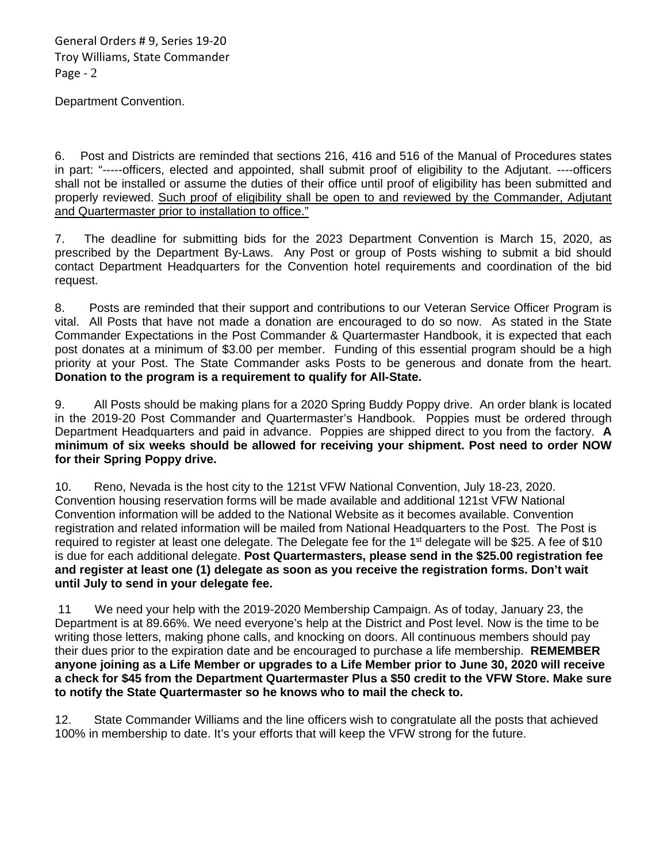General Orders # 9, Series 19-20 Troy Williams, State Commander Page - 2

Department Convention.

6. Post and Districts are reminded that sections 216, 416 and 516 of the Manual of Procedures states in part: "-----officers, elected and appointed, shall submit proof of eligibility to the Adjutant. ----officers shall not be installed or assume the duties of their office until proof of eligibility has been submitted and properly reviewed. Such proof of eligibility shall be open to and reviewed by the Commander, Adjutant and Quartermaster prior to installation to office."

7. The deadline for submitting bids for the 2023 Department Convention is March 15, 2020, as prescribed by the Department By-Laws. Any Post or group of Posts wishing to submit a bid should contact Department Headquarters for the Convention hotel requirements and coordination of the bid request.

8. Posts are reminded that their support and contributions to our Veteran Service Officer Program is vital. All Posts that have not made a donation are encouraged to do so now. As stated in the State Commander Expectations in the Post Commander & Quartermaster Handbook, it is expected that each post donates at a minimum of \$3.00 per member. Funding of this essential program should be a high priority at your Post. The State Commander asks Posts to be generous and donate from the heart. **Donation to the program is a requirement to qualify for All-State.**

9. All Posts should be making plans for a 2020 Spring Buddy Poppy drive. An order blank is located in the 2019-20 Post Commander and Quartermaster's Handbook. Poppies must be ordered through Department Headquarters and paid in advance. Poppies are shipped direct to you from the factory. **A minimum of six weeks should be allowed for receiving your shipment. Post need to order NOW for their Spring Poppy drive.**

10. Reno, Nevada is the host city to the 121st VFW National Convention, July 18-23, 2020. Convention housing reservation forms will be made available and additional 121st VFW National Convention information will be added to the National Website as it becomes available. Convention registration and related information will be mailed from National Headquarters to the Post. The Post is required to register at least one delegate. The Delegate fee for the 1<sup>st</sup> delegate will be \$25. A fee of \$10 is due for each additional delegate. **Post Quartermasters, please send in the \$25.00 registration fee and register at least one (1) delegate as soon as you receive the registration forms. Don't wait until July to send in your delegate fee.**

11 We need your help with the 2019-2020 Membership Campaign. As of today, January 23, the Department is at 89.66%. We need everyone's help at the District and Post level. Now is the time to be writing those letters, making phone calls, and knocking on doors. All continuous members should pay their dues prior to the expiration date and be encouraged to purchase a life membership. **REMEMBER anyone joining as a Life Member or upgrades to a Life Member prior to June 30, 2020 will receive a check for \$45 from the Department Quartermaster Plus a \$50 credit to the VFW Store. Make sure to notify the State Quartermaster so he knows who to mail the check to.**

12. State Commander Williams and the line officers wish to congratulate all the posts that achieved 100% in membership to date. It's your efforts that will keep the VFW strong for the future.